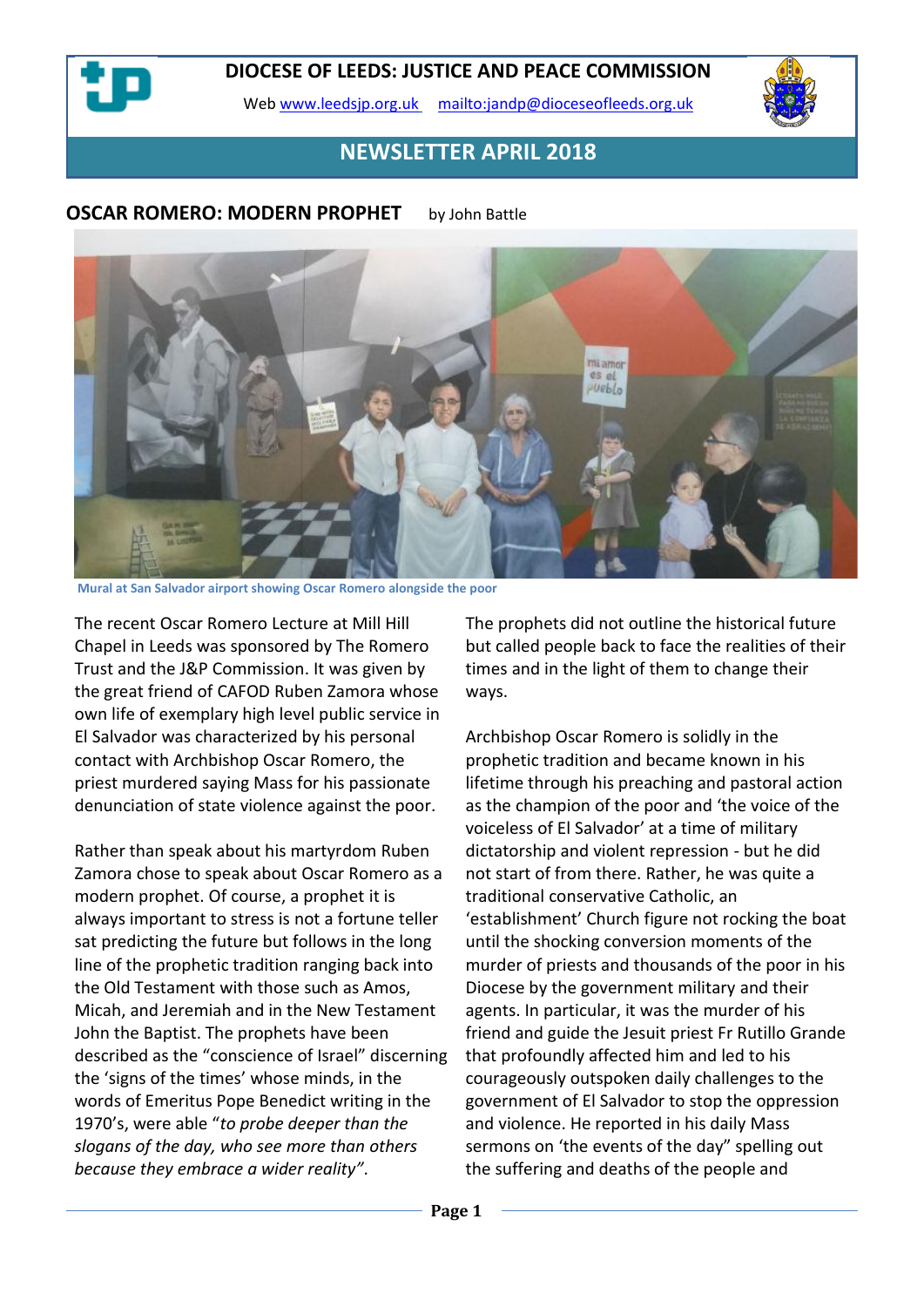Web [www.leedsjp.org.uk](http://www.leedsjp.org.uk/) <mailto:jandp@dioceseofleeds.org.uk>



# **NEWSLETTER APRIL 2018**

#### **OSCAR ROMERO: MODERN PROPHET** by John Battle



**Mural at San Salvador airport showing Oscar Romero alongside the poor**

The recent Oscar Romero Lecture at Mill Hill Chapel in Leeds was sponsored by The Romero Trust and the J&P Commission. It was given by the great friend of CAFOD Ruben Zamora whose own life of exemplary high level public service in El Salvador was characterized by his personal contact with Archbishop Oscar Romero, the priest murdered saying Mass for his passionate denunciation of state violence against the poor.

Rather than speak about his martyrdom Ruben Zamora chose to speak about Oscar Romero as a modern prophet. Of course, a prophet it is always important to stress is not a fortune teller sat predicting the future but follows in the long line of the prophetic tradition ranging back into the Old Testament with those such as Amos, Micah, and Jeremiah and in the New Testament John the Baptist. The prophets have been described as the "conscience of Israel" discerning the 'signs of the times' whose minds, in the words of Emeritus Pope Benedict writing in the 1970's, were able "*to probe deeper than the slogans of the day, who see more than others because they embrace a wider reality"*.

The prophets did not outline the historical future but called people back to face the realities of their times and in the light of them to change their ways.

Archbishop Oscar Romero is solidly in the prophetic tradition and became known in his lifetime through his preaching and pastoral action as the champion of the poor and 'the voice of the voiceless of El Salvador' at a time of military dictatorship and violent repression - but he did not start of from there. Rather, he was quite a traditional conservative Catholic, an 'establishment' Church figure not rocking the boat until the shocking conversion moments of the murder of priests and thousands of the poor in his Diocese by the government military and their agents. In particular, it was the murder of his friend and guide the Jesuit priest Fr Rutillo Grande that profoundly affected him and led to his courageously outspoken daily challenges to the government of El Salvador to stop the oppression and violence. He reported in his daily Mass sermons on 'the events of the day" spelling out the suffering and deaths of the people and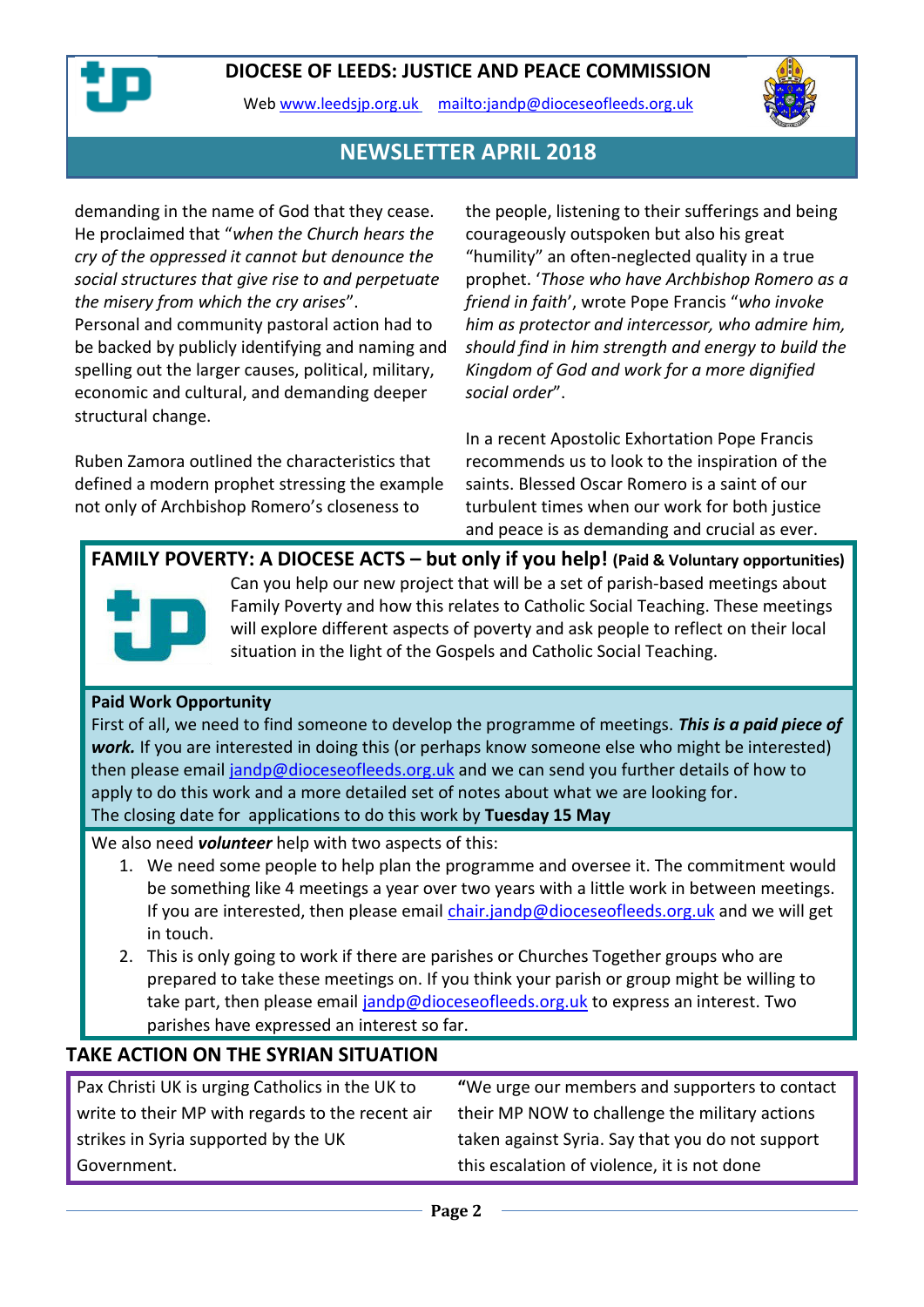

structural change.

Web [www.leedsjp.org.uk](http://www.leedsjp.org.uk/) <mailto:jandp@dioceseofleeds.org.uk>



## **NEWSLETTER APRIL 2018**

demanding in the name of God that they cease. He proclaimed that "*when the Church hears the cry of the oppressed it cannot but denounce the social structures that give rise to and perpetuate the misery from which the cry arises*". Personal and community pastoral action had to be backed by publicly identifying and naming and spelling out the larger causes, political, military, economic and cultural, and demanding deeper

Ruben Zamora outlined the characteristics that defined a modern prophet stressing the example not only of Archbishop Romero's closeness to

the people, listening to their sufferings and being courageously outspoken but also his great "humility" an often-neglected quality in a true prophet. '*Those who have Archbishop Romero as a friend in faith*', wrote Pope Francis "*who invoke him as protector and intercessor, who admire him, should find in him strength and energy to build the Kingdom of God and work for a more dignified social order*".

In a recent Apostolic Exhortation Pope Francis recommends us to look to the inspiration of the saints. Blessed Oscar Romero is a saint of our turbulent times when our work for both justice and peace is as demanding and crucial as ever.

**FAMILY POVERTY: A DIOCESE ACTS – but only if you help! (Paid & Voluntary opportunities)** Can you help our new project that will be a set of parish-based meetings about Family Poverty and how this relates to Catholic Social Teaching. These meetings will explore different aspects of poverty and ask people to reflect on their local situation in the light of the Gospels and Catholic Social Teaching.

#### **Paid Work Opportunity**

First of all, we need to find someone to develop the programme of meetings. *This is a paid piece of work.* If you are interested in doing this (or perhaps know someone else who might be interested) then please emai[l jandp@dioceseofleeds.org.uk](mailto:jandp@dioceseofleeds.org.uk) and we can send you further details of how to apply to do this work and a more detailed set of notes about what we are looking for. The closing date for applications to do this work by **Tuesday 15 May**

We also need *volunteer* help with two aspects of this:

- 1. We need some people to help plan the programme and oversee it. The commitment would be something like 4 meetings a year over two years with a little work in between meetings. If you are interested, then please email [chair.jandp@dioceseofleeds.org.uk](mailto:chair.jandp@dioceseofleeds.org.uk) and we will get in touch.
- 2. This is only going to work if there are parishes or Churches Together groups who are prepared to take these meetings on. If you think your parish or group might be willing to take part, then please email [jandp@dioceseofleeds.org.uk](mailto:jandp@dioceseofleeds.org.uk) to express an interest. Two parishes have expressed an interest so far.

## **TAKE ACTION ON THE SYRIAN SITUATION**

Pax Christi UK is urging Catholics in the UK to write to their MP with regards to the recent air strikes in Syria supported by the UK Government.

**"**We urge our members and supporters to contact their MP NOW to challenge the military actions taken against Syria. Say that you do not support this escalation of violence, it is not done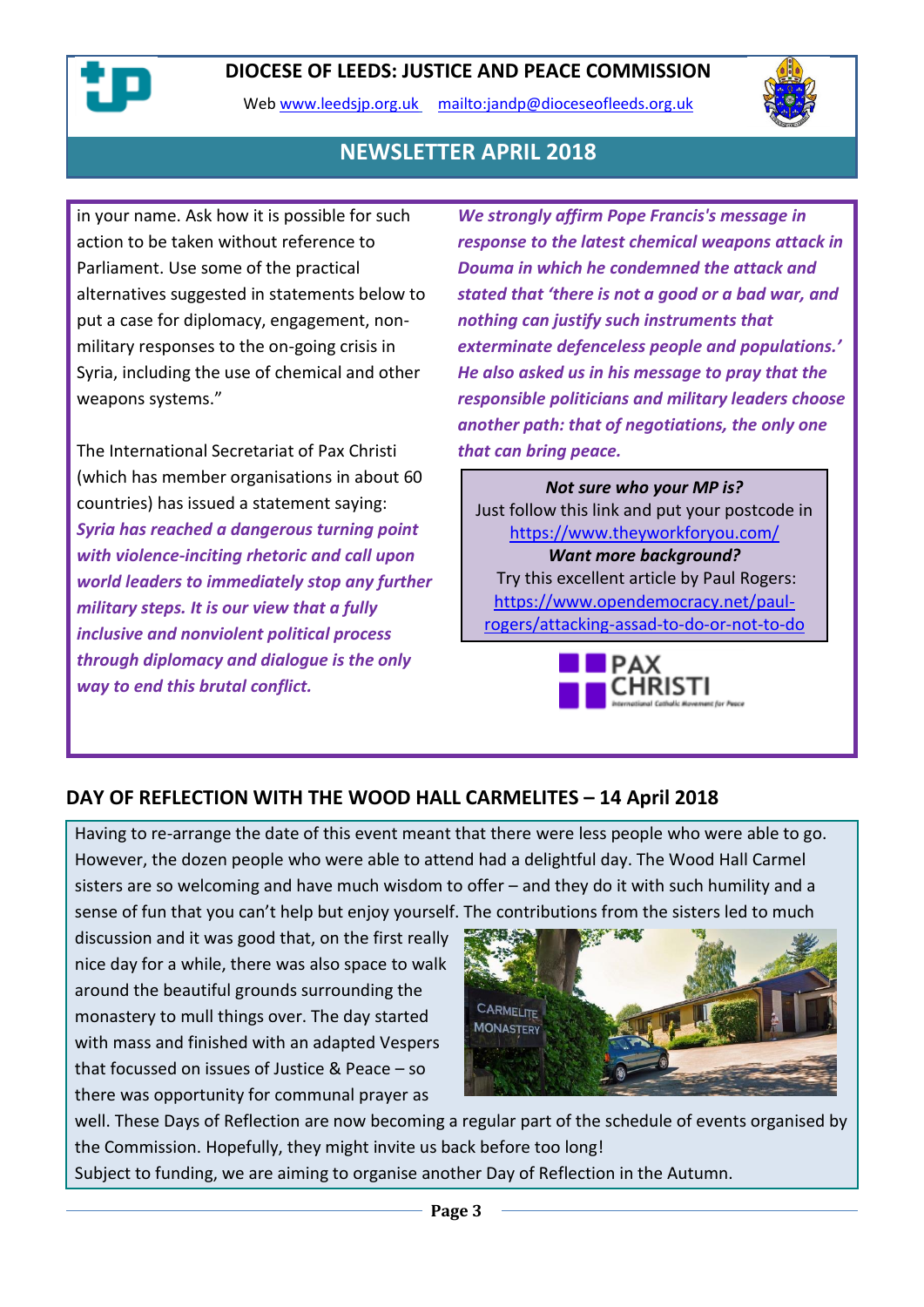Web [www.leedsjp.org.uk](http://www.leedsjp.org.uk/) <mailto:jandp@dioceseofleeds.org.uk>



## **NEWSLETTER APRIL 2018**

in your name. Ask how it is possible for such action to be taken without reference to Parliament. Use some of the practical alternatives suggested in statements below to put a case for diplomacy, engagement, nonmilitary responses to the on-going crisis in Syria, including the use of chemical and other weapons systems."

The International Secretariat of Pax Christi (which has member organisations in about 60 countries) has issued a statement saying: *Syria has reached a dangerous turning point with violence-inciting rhetoric and call upon world leaders to immediately stop any further military steps. It is our view that a fully inclusive and nonviolent political process through diplomacy and dialogue is the only way to end this brutal conflict.*

*We strongly affirm Pope Francis's message in response to the latest chemical weapons attack in Douma in which he condemned the attack and stated that 'there is not a good or a bad war, and nothing can justify such instruments that exterminate defenceless people and populations.' He also asked us in his message to pray that the responsible politicians and military leaders choose another path: that of negotiations, the only one that can bring peace.*

*Not sure who your MP is?* Just follow this link and put your postcode in <https://www.theyworkforyou.com/> *Want more background?* Try this excellent article by Paul Rogers: [https://www.opendemocracy.net/paul](https://www.opendemocracy.net/paul-rogers/attacking-assad-to-do-or-not-to-do)[rogers/attacking-assad-to-do-or-not-to-do](https://www.opendemocracy.net/paul-rogers/attacking-assad-to-do-or-not-to-do)



## **DAY OF REFLECTION WITH THE WOOD HALL CARMELITES – 14 April 2018**

Having to re-arrange the date of this event meant that there were less people who were able to go. However, the dozen people who were able to attend had a delightful day. The Wood Hall Carmel sisters are so welcoming and have much wisdom to offer – and they do it with such humility and a sense of fun that you can't help but enjoy yourself. The contributions from the sisters led to much

discussion and it was good that, on the first really nice day for a while, there was also space to walk around the beautiful grounds surrounding the monastery to mull things over. The day started with mass and finished with an adapted Vespers that focussed on issues of Justice & Peace – so there was opportunity for communal prayer as



well. These Days of Reflection are now becoming a regular part of the schedule of events organised by the Commission. Hopefully, they might invite us back before too long! Subject to funding, we are aiming to organise another Day of Reflection in the Autumn.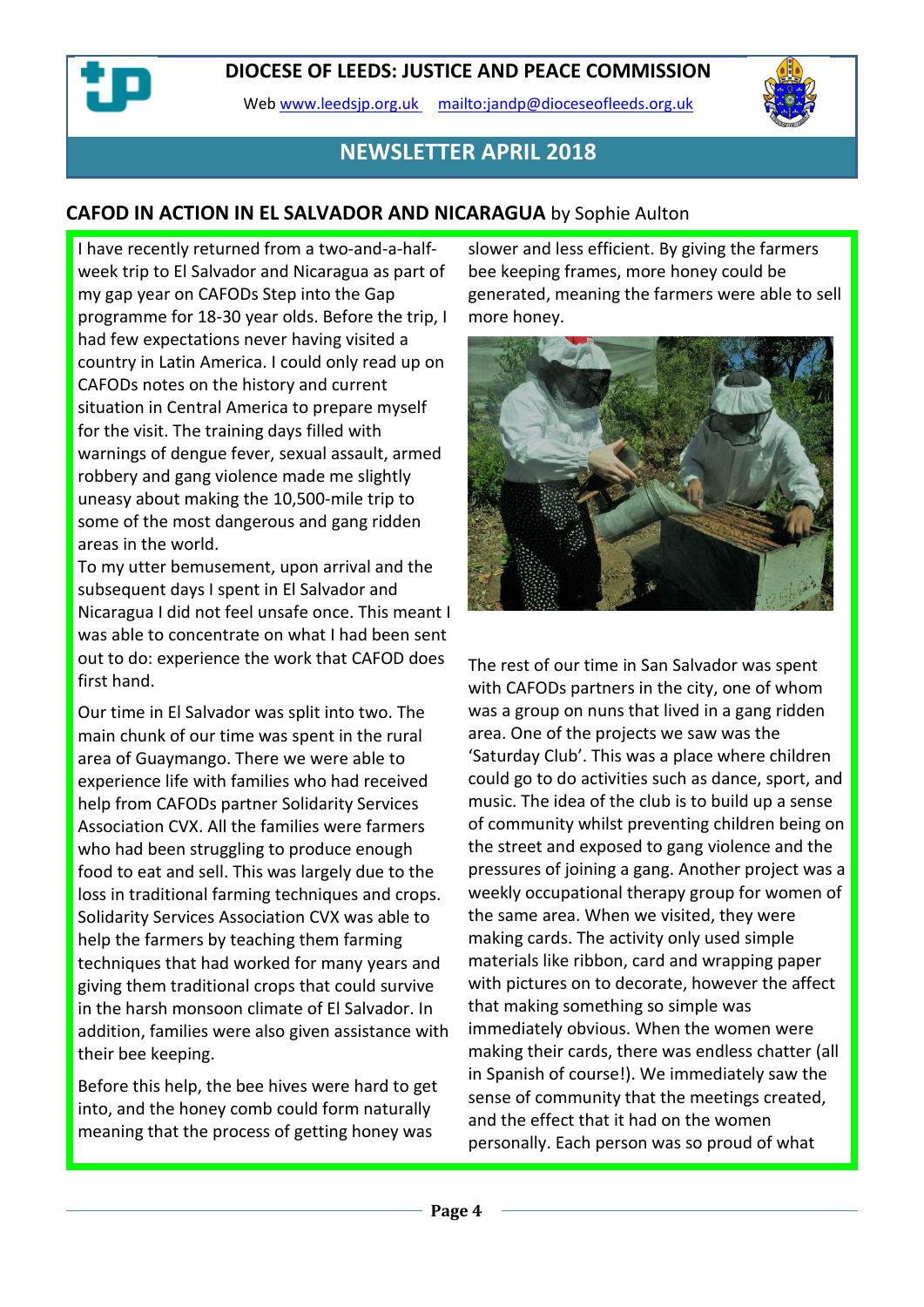Web [www.leedsjp.org.uk](http://www.leedsjp.org.uk/) <mailto:jandp@dioceseofleeds.org.uk>



## **NEWSLETTER APRIL 2018**

## **CAFOD IN ACTION IN EL SALVADOR AND NICARAGUA** by Sophie Aulton

I have recently returned from a two-and-a-halfweek trip to El Salvador and Nicaragua as part of my gap year on CAFODs Step into the Gap programme for 18-30 year olds. Before the trip, I had few expectations never having visited a country in Latin America. I could only read up on CAFODs notes on the history and current situation in Central America to prepare myself for the visit. The training days filled with warnings of dengue fever, sexual assault, armed robbery and gang violence made me slightly uneasy about making the 10,500-mile trip to some of the most dangerous and gang ridden areas in the world.

To my utter bemusement, upon arrival and the subsequent days I spent in El Salvador and Nicaragua I did not feel unsafe once. This meant I was able to concentrate on what I had been sent out to do: experience the work that CAFOD does first hand.

Our time in El Salvador was split into two. The main chunk of our time was spent in the rural area of Guaymango. There we were able to experience life with families who had received help from CAFODs partner Solidarity Services Association CVX. All the families were farmers who had been struggling to produce enough food to eat and sell. This was largely due to the loss in traditional farming techniques and crops. Solidarity Services Association CVX was able to help the farmers by teaching them farming techniques that had worked for many years and giving them traditional crops that could survive in the harsh monsoon climate of El Salvador. In addition, families were also given assistance with their bee keeping.

Before this help, the bee hives were hard to get into, and the honey comb could form naturally meaning that the process of getting honey was

slower and less efficient. By giving the farmers bee keeping frames, more honey could be generated, meaning the farmers were able to sell more honey.



The rest of our time in San Salvador was spent with CAFODs partners in the city, one of whom was a group on nuns that lived in a gang ridden area. One of the projects we saw was the 'Saturday Club'. This was a place where children could go to do activities such as dance, sport, and music. The idea of the club is to build up a sense of community whilst preventing children being on the street and exposed to gang violence and the pressures of joining a gang. Another project was a weekly occupational therapy group for women of the same area. When we visited, they were making cards. The activity only used simple materials like ribbon, card and wrapping paper with pictures on to decorate, however the affect that making something so simple was immediately obvious. When the women were making their cards, there was endless chatter (all in Spanish of course!). We immediately saw the sense of community that the meetings created, and the effect that it had on the women personally. Each person was so proud of what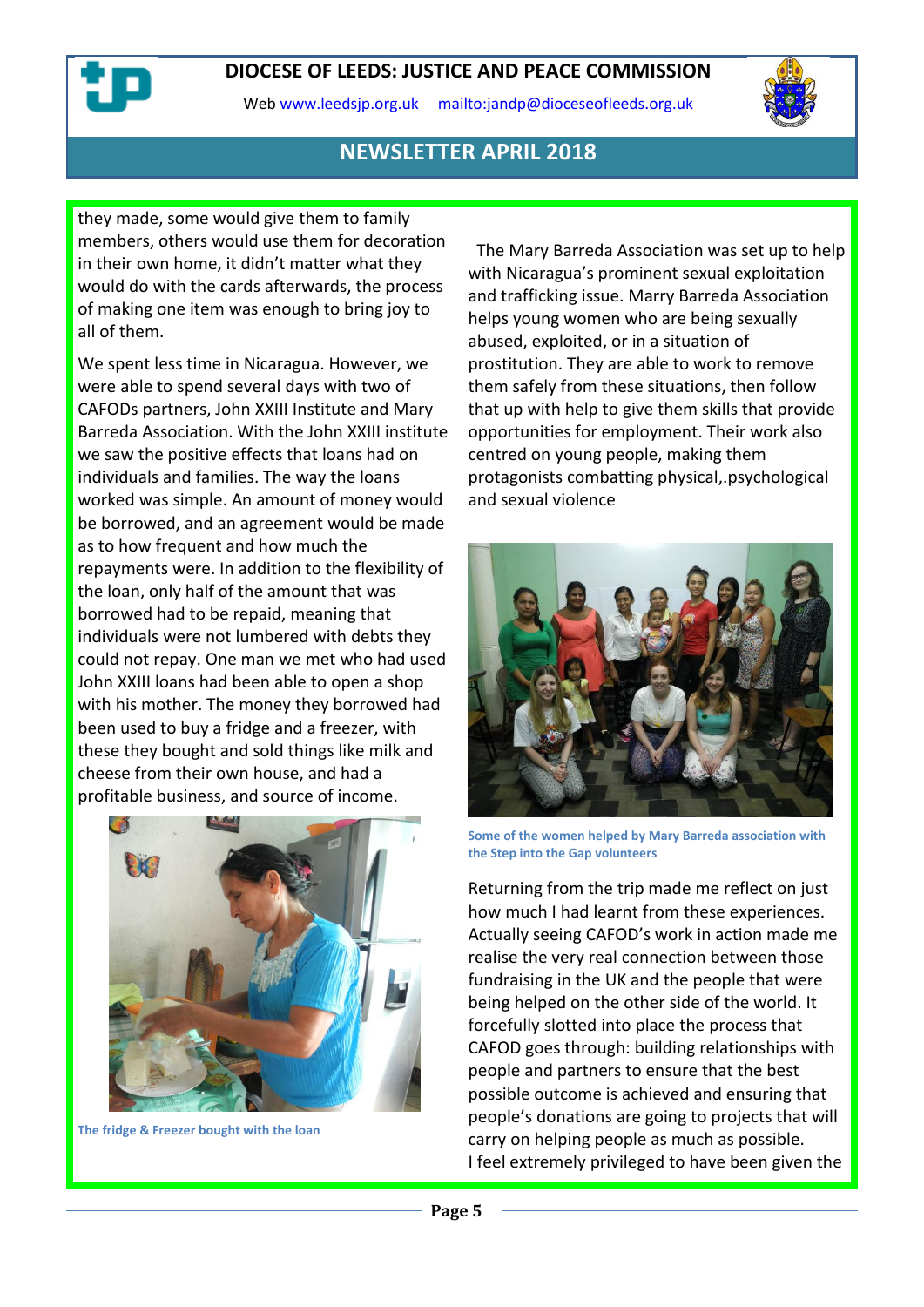Web [www.leedsjp.org.uk](http://www.leedsjp.org.uk/) <mailto:jandp@dioceseofleeds.org.uk>



## **NEWSLETTER APRIL 2018**

they made, some would give them to family members, others would use them for decoration in their own home, it didn't matter what they would do with the cards afterwards, the process of making one item was enough to bring joy to all of them.

We spent less time in Nicaragua. However, we were able to spend several days with two of CAFODs partners, John XXIII Institute and Mary Barreda Association. With the John XXIII institute we saw the positive effects that loans had on individuals and families. The way the loans worked was simple. An amount of money would be borrowed, and an agreement would be made as to how frequent and how much the repayments were. In addition to the flexibility of the loan, only half of the amount that was borrowed had to be repaid, meaning that individuals were not lumbered with debts they could not repay. One man we met who had used John XXIII loans had been able to open a shop with his mother. The money they borrowed had been used to buy a fridge and a freezer, with these they bought and sold things like milk and cheese from their own house, and had a profitable business, and source of income.



**The fridge & Freezer bought with the loan** 

 The Mary Barreda Association was set up to help with Nicaragua's prominent sexual exploitation and trafficking issue. Marry Barreda Association helps young women who are being sexually abused, exploited, or in a situation of prostitution. They are able to work to remove them safely from these situations, then follow that up with help to give them skills that provide opportunities for employment. Their work also centred on young people, making them protagonists combatting physical,.psychological and sexual violence



**Some of the women helped by Mary Barreda association with the Step into the Gap volunteers**

Returning from the trip made me reflect on just how much I had learnt from these experiences. Actually seeing CAFOD's work in action made me realise the very real connection between those fundraising in the UK and the people that were being helped on the other side of the world. It forcefully slotted into place the process that CAFOD goes through: building relationships with people and partners to ensure that the best possible outcome is achieved and ensuring that people's donations are going to projects that will carry on helping people as much as possible. I feel extremely privileged to have been given the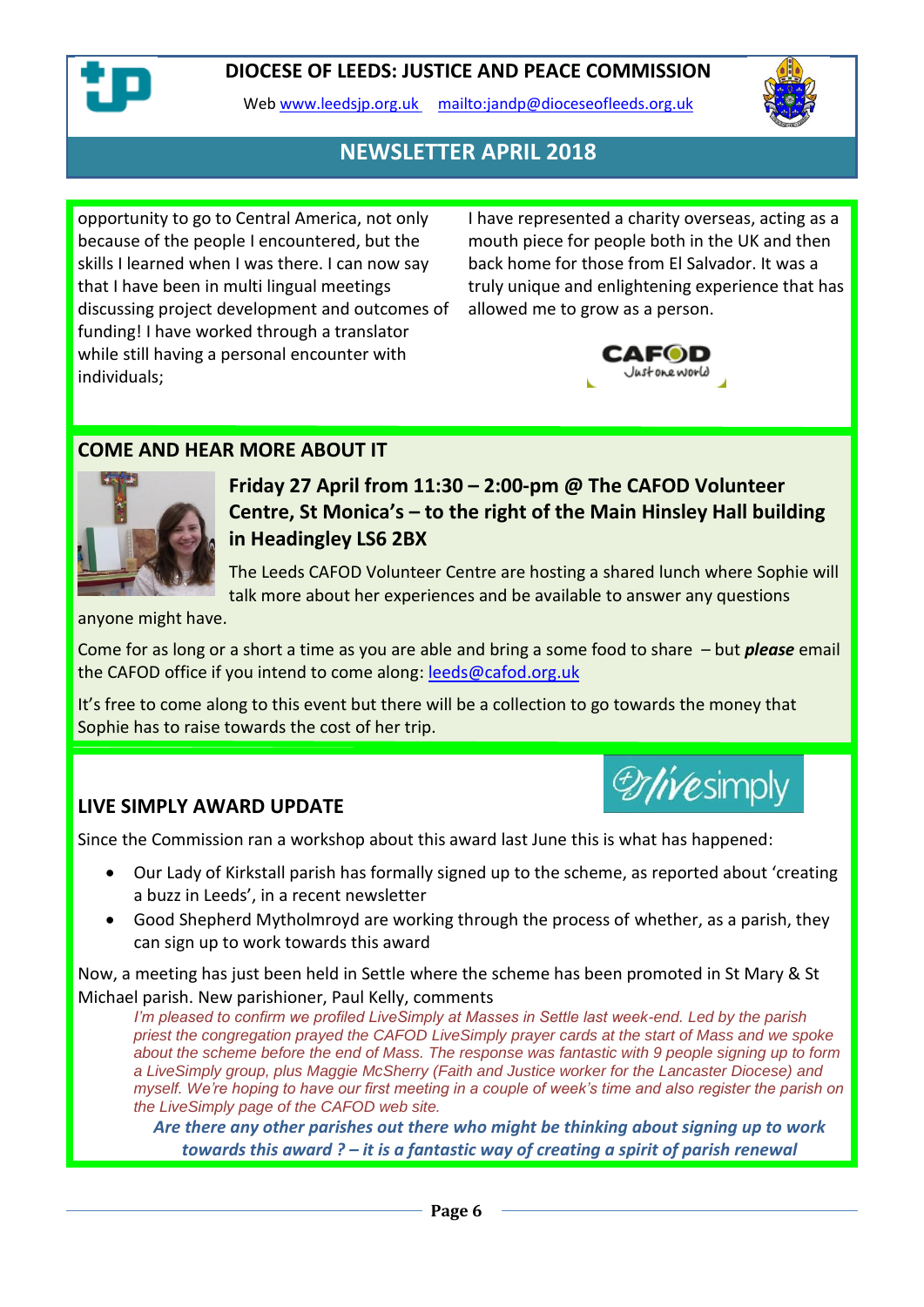

Web [www.leedsjp.org.uk](http://www.leedsjp.org.uk/) <mailto:jandp@dioceseofleeds.org.uk>



## **NEWSLETTER APRIL 2018**

opportunity to go to Central America, not only because of the people I encountered, but the skills I learned when I was there. I can now say that I have been in multi lingual meetings discussing project development and outcomes of funding! I have worked through a translator while still having a personal encounter with individuals;

I have represented a charity overseas, acting as a mouth piece for people both in the UK and then back home for those from El Salvador. It was a truly unique and enlightening experience that has allowed me to grow as a person.



*Drivesimply* 

## **COME AND HEAR MORE ABOUT IT**



**Friday 27 April from 11:30 – 2:00-pm @ The CAFOD Volunteer Centre, St Monica's – to the right of the Main Hinsley Hall building in Headingley LS6 2BX**

The Leeds CAFOD Volunteer Centre are hosting a shared lunch where Sophie will talk more about her experiences and be available to answer any questions

anyone might have.

Come for as long or a short a time as you are able and bring a some food to share – but *please* email the CAFOD office if you intend to come along: [leeds@cafod.org.uk](mailto:leeds@cafod.org.uk)

It's free to come along to this event but there will be a collection to go towards the money that Sophie has to raise towards the cost of her trip.

#### **LIVE SIMPLY AWARD UPDATE**

Since the Commission ran a workshop about this award last June this is what has happened:

- Our Lady of Kirkstall parish has formally signed up to the scheme, as reported about 'creating a buzz in Leeds', in a recent newsletter
- Good Shepherd Mytholmroyd are working through the process of whether, as a parish, they can sign up to work towards this award

Now, a meeting has just been held in Settle where the scheme has been promoted in St Mary & St Michael parish. New parishioner, Paul Kelly, comments

*I'm pleased to confirm we profiled LiveSimply at Masses in Settle last week-end. Led by the parish priest the congregation prayed the CAFOD LiveSimply prayer cards at the start of Mass and we spoke about the scheme before the end of Mass. The response was fantastic with 9 people signing up to form a LiveSimply group, plus Maggie McSherry (Faith and Justice worker for the Lancaster Diocese) and myself. We're hoping to have our first meeting in a couple of week's time and also register the parish on the LiveSimply page of the CAFOD web site.*

*Are there any other parishes out there who might be thinking about signing up to work towards this award ? – it is a fantastic way of creating a spirit of parish renewal*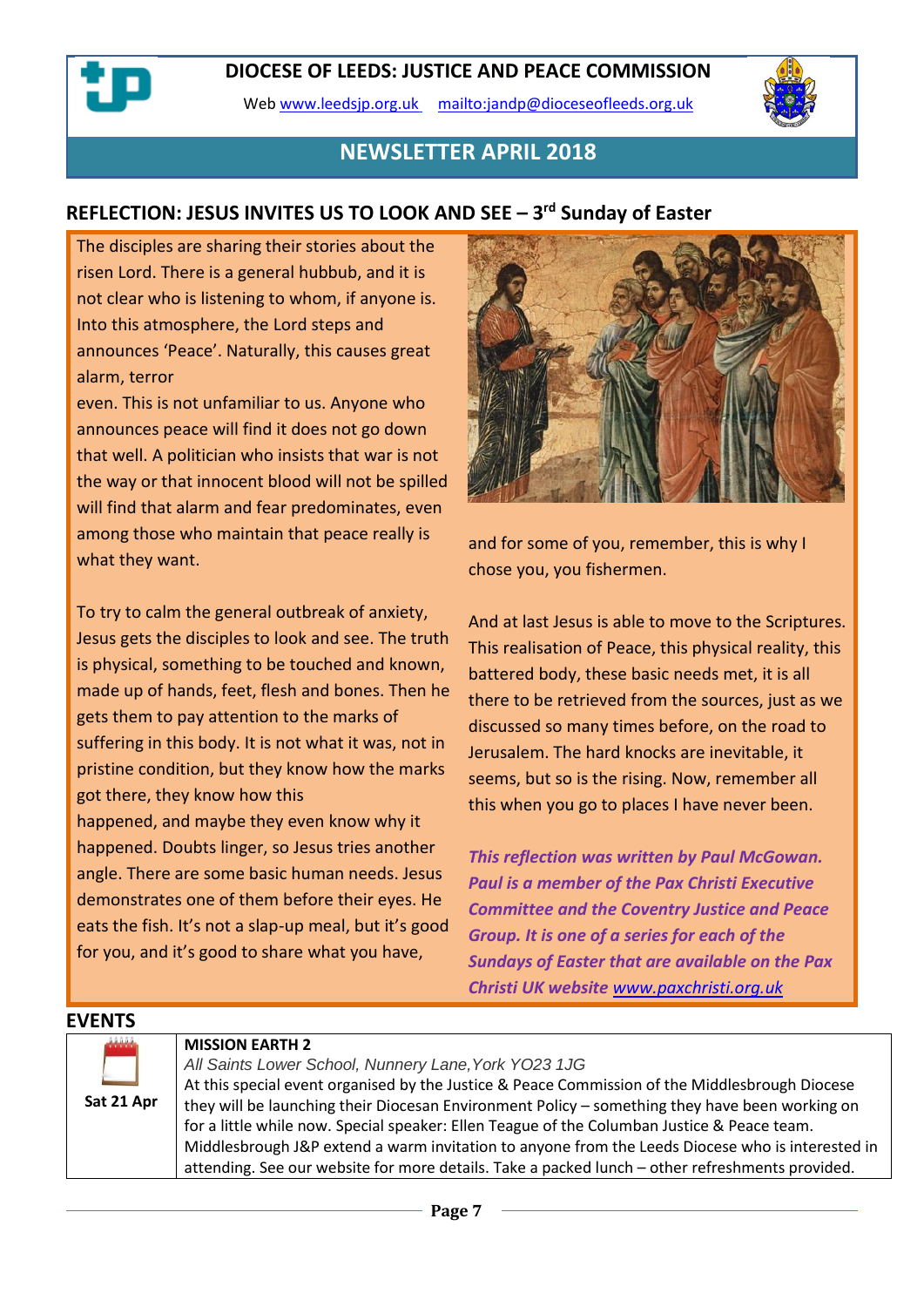Web [www.leedsjp.org.uk](http://www.leedsjp.org.uk/) <mailto:jandp@dioceseofleeds.org.uk>



## **NEWSLETTER APRIL 2018**

## **REFLECTION: JESUS INVITES US TO LOOK AND SEE – 3 rd Sunday of Easter**

The disciples are sharing their stories about the risen Lord. There is a general hubbub, and it is not clear who is listening to whom, if anyone is. Into this atmosphere, the Lord steps and announces 'Peace'. Naturally, this causes great alarm, terror

even. This is not unfamiliar to us. Anyone who announces peace will find it does not go down that well. A politician who insists that war is not the way or that innocent blood will not be spilled will find that alarm and fear predominates, even among those who maintain that peace really is what they want.

To try to calm the general outbreak of anxiety, Jesus gets the disciples to look and see. The truth is physical, something to be touched and known, made up of hands, feet, flesh and bones. Then he gets them to pay attention to the marks of suffering in this body. It is not what it was, not in pristine condition, but they know how the marks got there, they know how this

happened, and maybe they even know why it happened. Doubts linger, so Jesus tries another angle. There are some basic human needs. Jesus demonstrates one of them before their eyes. He eats the fish. It's not a slap-up meal, but it's good for you, and it's good to share what you have,



and for some of you, remember, this is why I chose you, you fishermen.

And at last Jesus is able to move to the Scriptures. This realisation of Peace, this physical reality, this battered body, these basic needs met, it is all there to be retrieved from the sources, just as we discussed so many times before, on the road to Jerusalem. The hard knocks are inevitable, it seems, but so is the rising. Now, remember all this when you go to places I have never been.

*This reflection was written by Paul McGowan. Paul is a member of the Pax Christi Executive Committee and the Coventry Justice and Peace Group. It is one of a series for each of the Sundays of Easter that are available on the Pax Christi UK website [www.paxchristi.org.uk](https://dioceseofleeds-my.sharepoint.com/personal/jandp_dioceseofleeds_org_uk/Documents/Newsletters/2018-newsletters/2018-04/www.paxchristi.org.uk)*

# **EVENTS**

|  | Sat 21 Apr |
|--|------------|

#### **MISSION EARTH 2**

*All Saints Lower School, Nunnery Lane,York YO23 1JG* At this special event organised by the Justice & Peace Commission of the Middlesbrough Diocese they will be launching their Diocesan Environment Policy – something they have been working on for a little while now. Special speaker: Ellen Teague of the Columban Justice & Peace team. Middlesbrough J&P extend a warm invitation to anyone from the Leeds Diocese who is interested in attending. See our website for more details. Take a packed lunch – other refreshments provided.